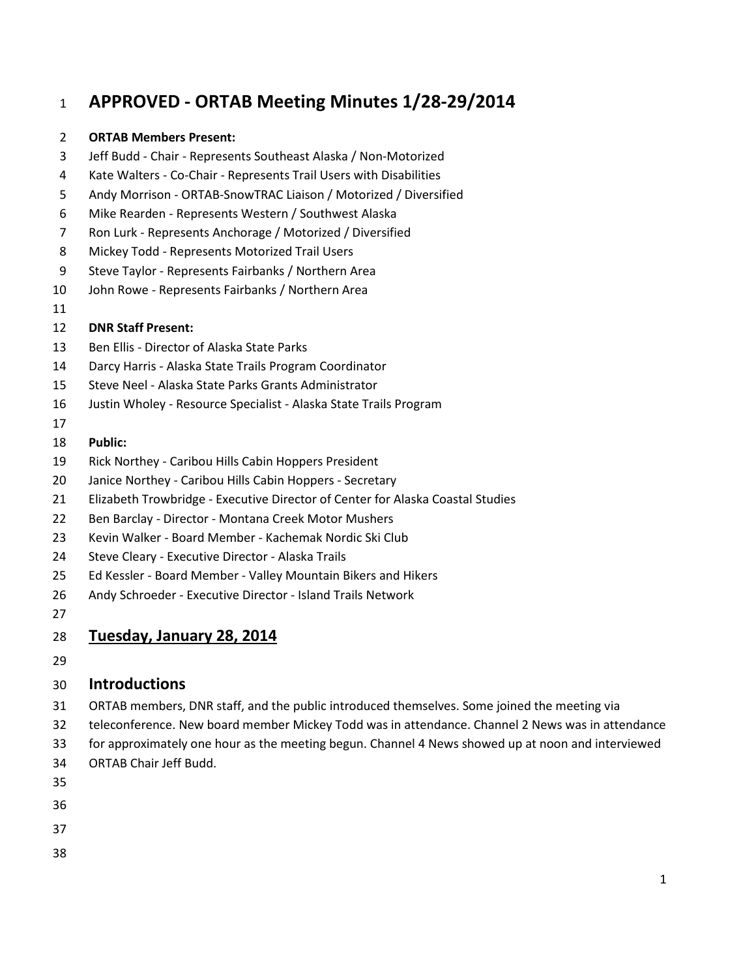# **APPROVED - ORTAB Meeting Minutes 1/28-29/2014**

#### **ORTAB Members Present:**

- Jeff Budd Chair Represents Southeast Alaska / Non-Motorized
- Kate Walters Co-Chair Represents Trail Users with Disabilities
- Andy Morrison ORTAB-SnowTRAC Liaison / Motorized / Diversified
- Mike Rearden Represents Western / Southwest Alaska
- Ron Lurk Represents Anchorage / Motorized / Diversified
- Mickey Todd Represents Motorized Trail Users
- Steve Taylor Represents Fairbanks / Northern Area
- John Rowe Represents Fairbanks / Northern Area
- 

#### **DNR Staff Present:**

- Ben Ellis Director of Alaska State Parks
- Darcy Harris Alaska State Trails Program Coordinator
- Steve Neel Alaska State Parks Grants Administrator
- Justin Wholey Resource Specialist Alaska State Trails Program
- 

#### **Public:**

- Rick Northey Caribou Hills Cabin Hoppers President
- Janice Northey Caribou Hills Cabin Hoppers Secretary
- Elizabeth Trowbridge Executive Director of Center for Alaska Coastal Studies
- Ben Barclay Director Montana Creek Motor Mushers
- Kevin Walker Board Member Kachemak Nordic Ski Club
- Steve Cleary Executive Director Alaska Trails
- Ed Kessler Board Member Valley Mountain Bikers and Hikers
- Andy Schroeder Executive Director Island Trails Network
- 

#### **Tuesday, January 28, 2014**

#### **Introductions**

- ORTAB members, DNR staff, and the public introduced themselves. Some joined the meeting via
- teleconference. New board member Mickey Todd was in attendance. Channel 2 News was in attendance
- for approximately one hour as the meeting begun. Channel 4 News showed up at noon and interviewed
- ORTAB Chair Jeff Budd.
- 
- 
- 
- 
-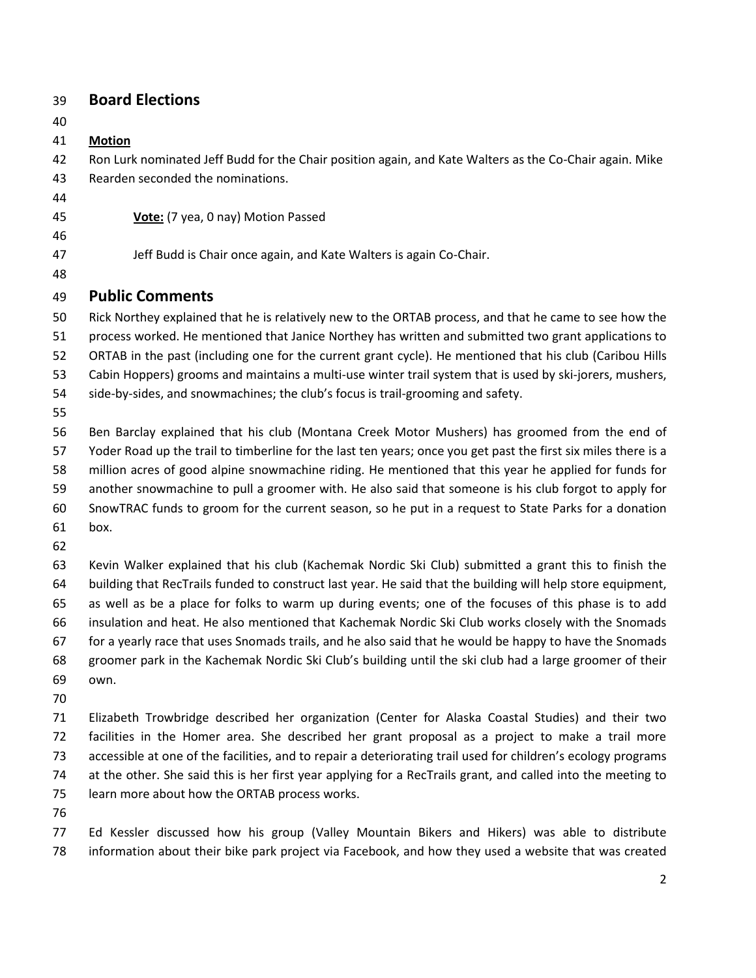| 39 | <b>Board Elections</b> |  |
|----|------------------------|--|
|----|------------------------|--|

**Motion**

 Ron Lurk nominated Jeff Budd for the Chair position again, and Kate Walters as the Co-Chair again. Mike Rearden seconded the nominations.

**Vote:** (7 yea, 0 nay) Motion Passed

- 47 Jeff Budd is Chair once again, and Kate Walters is again Co-Chair.
- **Public Comments**

 Rick Northey explained that he is relatively new to the ORTAB process, and that he came to see how the process worked. He mentioned that Janice Northey has written and submitted two grant applications to

ORTAB in the past (including one for the current grant cycle). He mentioned that his club (Caribou Hills

Cabin Hoppers) grooms and maintains a multi-use winter trail system that is used by ski-jorers, mushers,

- side-by-sides, and snowmachines; the club's focus is trail-grooming and safety.
- 

 Ben Barclay explained that his club (Montana Creek Motor Mushers) has groomed from the end of Yoder Road up the trail to timberline for the last ten years; once you get past the first six miles there is a million acres of good alpine snowmachine riding. He mentioned that this year he applied for funds for another snowmachine to pull a groomer with. He also said that someone is his club forgot to apply for SnowTRAC funds to groom for the current season, so he put in a request to State Parks for a donation box.

 Kevin Walker explained that his club (Kachemak Nordic Ski Club) submitted a grant this to finish the building that RecTrails funded to construct last year. He said that the building will help store equipment, as well as be a place for folks to warm up during events; one of the focuses of this phase is to add insulation and heat. He also mentioned that Kachemak Nordic Ski Club works closely with the Snomads for a yearly race that uses Snomads trails, and he also said that he would be happy to have the Snomads groomer park in the Kachemak Nordic Ski Club's building until the ski club had a large groomer of their own.

 Elizabeth Trowbridge described her organization (Center for Alaska Coastal Studies) and their two facilities in the Homer area. She described her grant proposal as a project to make a trail more accessible at one of the facilities, and to repair a deteriorating trail used for children's ecology programs at the other. She said this is her first year applying for a RecTrails grant, and called into the meeting to learn more about how the ORTAB process works.

 Ed Kessler discussed how his group (Valley Mountain Bikers and Hikers) was able to distribute information about their bike park project via Facebook, and how they used a website that was created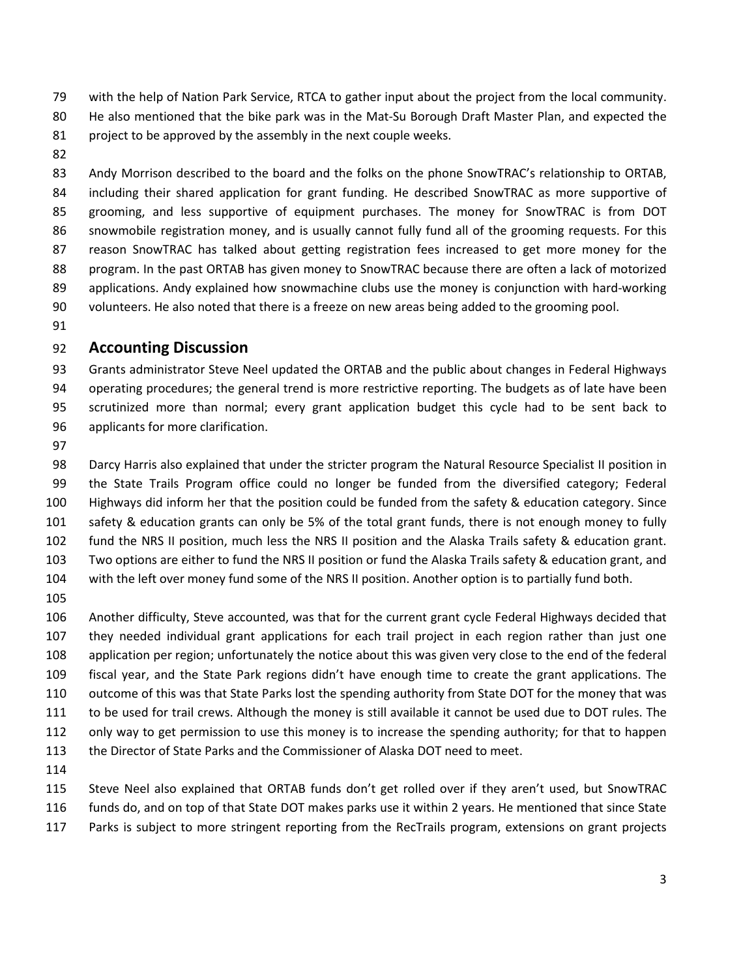with the help of Nation Park Service, RTCA to gather input about the project from the local community.

- He also mentioned that the bike park was in the Mat-Su Borough Draft Master Plan, and expected the 81 project to be approved by the assembly in the next couple weeks.
- 

83 Andy Morrison described to the board and the folks on the phone SnowTRAC's relationship to ORTAB, including their shared application for grant funding. He described SnowTRAC as more supportive of grooming, and less supportive of equipment purchases. The money for SnowTRAC is from DOT snowmobile registration money, and is usually cannot fully fund all of the grooming requests. For this reason SnowTRAC has talked about getting registration fees increased to get more money for the program. In the past ORTAB has given money to SnowTRAC because there are often a lack of motorized applications. Andy explained how snowmachine clubs use the money is conjunction with hard-working volunteers. He also noted that there is a freeze on new areas being added to the grooming pool.

## **Accounting Discussion**

 Grants administrator Steve Neel updated the ORTAB and the public about changes in Federal Highways operating procedures; the general trend is more restrictive reporting. The budgets as of late have been scrutinized more than normal; every grant application budget this cycle had to be sent back to applicants for more clarification.

 Darcy Harris also explained that under the stricter program the Natural Resource Specialist II position in the State Trails Program office could no longer be funded from the diversified category; Federal Highways did inform her that the position could be funded from the safety & education category. Since safety & education grants can only be 5% of the total grant funds, there is not enough money to fully fund the NRS II position, much less the NRS II position and the Alaska Trails safety & education grant. Two options are either to fund the NRS II position or fund the Alaska Trails safety & education grant, and with the left over money fund some of the NRS II position. Another option is to partially fund both.

 Another difficulty, Steve accounted, was that for the current grant cycle Federal Highways decided that they needed individual grant applications for each trail project in each region rather than just one application per region; unfortunately the notice about this was given very close to the end of the federal fiscal year, and the State Park regions didn't have enough time to create the grant applications. The outcome of this was that State Parks lost the spending authority from State DOT for the money that was to be used for trail crews. Although the money is still available it cannot be used due to DOT rules. The only way to get permission to use this money is to increase the spending authority; for that to happen the Director of State Parks and the Commissioner of Alaska DOT need to meet.

 Steve Neel also explained that ORTAB funds don't get rolled over if they aren't used, but SnowTRAC funds do, and on top of that State DOT makes parks use it within 2 years. He mentioned that since State

Parks is subject to more stringent reporting from the RecTrails program, extensions on grant projects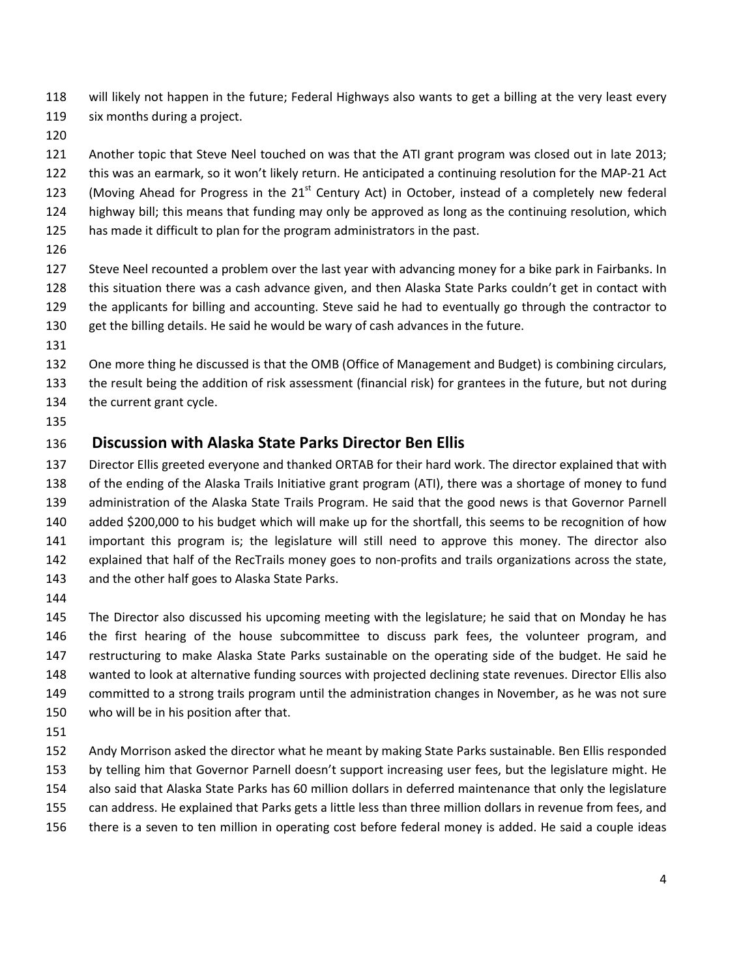will likely not happen in the future; Federal Highways also wants to get a billing at the very least every 119 six months during a project.

Another topic that Steve Neel touched on was that the ATI grant program was closed out in late 2013;

this was an earmark, so it won't likely return. He anticipated a continuing resolution for the MAP-21 Act

- 123 (Moving Ahead for Progress in the  $21<sup>st</sup>$  Century Act) in October, instead of a completely new federal
- highway bill; this means that funding may only be approved as long as the continuing resolution, which
- has made it difficult to plan for the program administrators in the past.
- 

 Steve Neel recounted a problem over the last year with advancing money for a bike park in Fairbanks. In this situation there was a cash advance given, and then Alaska State Parks couldn't get in contact with the applicants for billing and accounting. Steve said he had to eventually go through the contractor to get the billing details. He said he would be wary of cash advances in the future.

One more thing he discussed is that the OMB (Office of Management and Budget) is combining circulars,

 the result being the addition of risk assessment (financial risk) for grantees in the future, but not during the current grant cycle.

## **Discussion with Alaska State Parks Director Ben Ellis**

 Director Ellis greeted everyone and thanked ORTAB for their hard work. The director explained that with of the ending of the Alaska Trails Initiative grant program (ATI), there was a shortage of money to fund administration of the Alaska State Trails Program. He said that the good news is that Governor Parnell added \$200,000 to his budget which will make up for the shortfall, this seems to be recognition of how important this program is; the legislature will still need to approve this money. The director also explained that half of the RecTrails money goes to non-profits and trails organizations across the state, and the other half goes to Alaska State Parks.

 The Director also discussed his upcoming meeting with the legislature; he said that on Monday he has the first hearing of the house subcommittee to discuss park fees, the volunteer program, and restructuring to make Alaska State Parks sustainable on the operating side of the budget. He said he wanted to look at alternative funding sources with projected declining state revenues. Director Ellis also committed to a strong trails program until the administration changes in November, as he was not sure who will be in his position after that.

 Andy Morrison asked the director what he meant by making State Parks sustainable. Ben Ellis responded by telling him that Governor Parnell doesn't support increasing user fees, but the legislature might. He also said that Alaska State Parks has 60 million dollars in deferred maintenance that only the legislature can address. He explained that Parks gets a little less than three million dollars in revenue from fees, and

there is a seven to ten million in operating cost before federal money is added. He said a couple ideas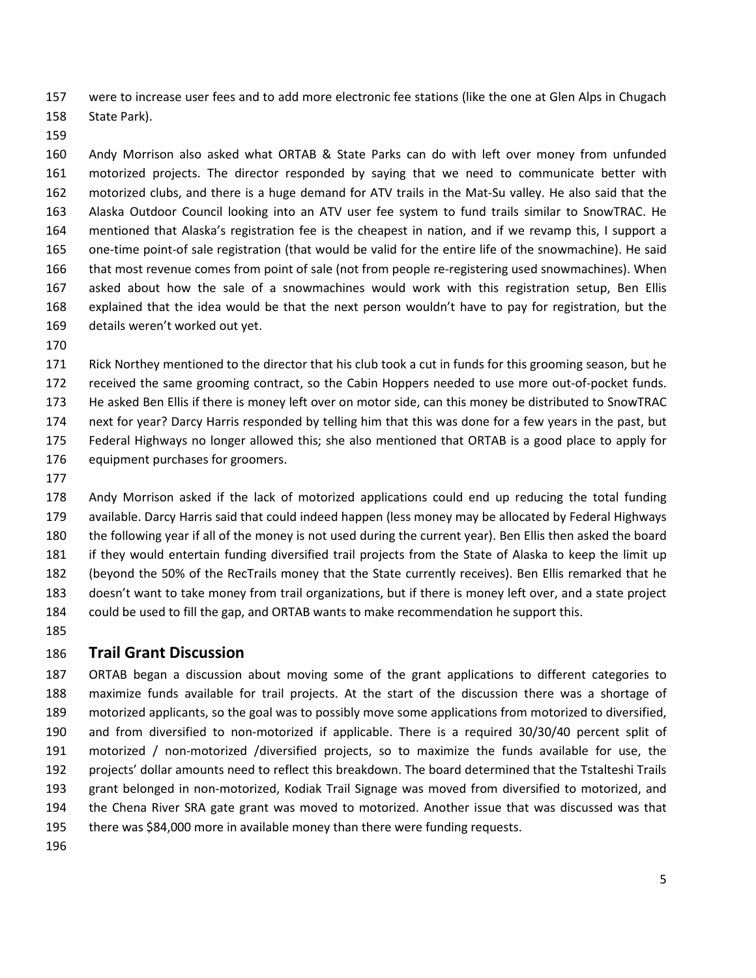were to increase user fees and to add more electronic fee stations (like the one at Glen Alps in Chugach State Park).

 Andy Morrison also asked what ORTAB & State Parks can do with left over money from unfunded motorized projects. The director responded by saying that we need to communicate better with motorized clubs, and there is a huge demand for ATV trails in the Mat-Su valley. He also said that the Alaska Outdoor Council looking into an ATV user fee system to fund trails similar to SnowTRAC. He mentioned that Alaska's registration fee is the cheapest in nation, and if we revamp this, I support a one-time point-of sale registration (that would be valid for the entire life of the snowmachine). He said that most revenue comes from point of sale (not from people re-registering used snowmachines). When asked about how the sale of a snowmachines would work with this registration setup, Ben Ellis explained that the idea would be that the next person wouldn't have to pay for registration, but the details weren't worked out yet.

 Rick Northey mentioned to the director that his club took a cut in funds for this grooming season, but he received the same grooming contract, so the Cabin Hoppers needed to use more out-of-pocket funds. He asked Ben Ellis if there is money left over on motor side, can this money be distributed to SnowTRAC next for year? Darcy Harris responded by telling him that this was done for a few years in the past, but Federal Highways no longer allowed this; she also mentioned that ORTAB is a good place to apply for equipment purchases for groomers.

 Andy Morrison asked if the lack of motorized applications could end up reducing the total funding available. Darcy Harris said that could indeed happen (less money may be allocated by Federal Highways the following year if all of the money is not used during the current year). Ben Ellis then asked the board if they would entertain funding diversified trail projects from the State of Alaska to keep the limit up (beyond the 50% of the RecTrails money that the State currently receives). Ben Ellis remarked that he doesn't want to take money from trail organizations, but if there is money left over, and a state project could be used to fill the gap, and ORTAB wants to make recommendation he support this.

#### **Trail Grant Discussion**

 ORTAB began a discussion about moving some of the grant applications to different categories to maximize funds available for trail projects. At the start of the discussion there was a shortage of motorized applicants, so the goal was to possibly move some applications from motorized to diversified, and from diversified to non-motorized if applicable. There is a required 30/30/40 percent split of motorized / non-motorized /diversified projects, so to maximize the funds available for use, the projects' dollar amounts need to reflect this breakdown. The board determined that the Tstalteshi Trails grant belonged in non-motorized, Kodiak Trail Signage was moved from diversified to motorized, and the Chena River SRA gate grant was moved to motorized. Another issue that was discussed was that there was \$84,000 more in available money than there were funding requests.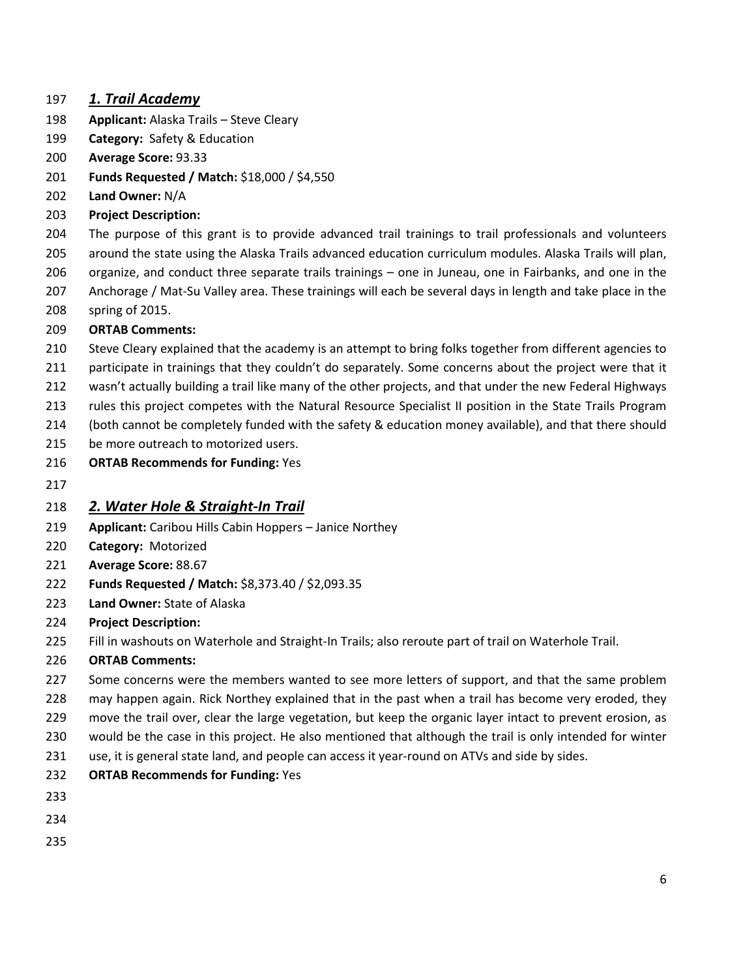#### *1. Trail Academy*

- **Applicant:** Alaska Trails Steve Cleary
- **Category:** Safety & Education
- **Average Score:** 93.33
- **Funds Requested / Match:** \$18,000 / \$4,550
- **Land Owner:** N/A
- **Project Description:**

The purpose of this grant is to provide advanced trail trainings to trail professionals and volunteers

around the state using the Alaska Trails advanced education curriculum modules. Alaska Trails will plan,

- organize, and conduct three separate trails trainings one in Juneau, one in Fairbanks, and one in the
- Anchorage / Mat-Su Valley area. These trainings will each be several days in length and take place in the spring of 2015.

#### **ORTAB Comments:**

- Steve Cleary explained that the academy is an attempt to bring folks together from different agencies to
- participate in trainings that they couldn't do separately. Some concerns about the project were that it
- wasn't actually building a trail like many of the other projects, and that under the new Federal Highways
- rules this project competes with the Natural Resource Specialist II position in the State Trails Program
- (both cannot be completely funded with the safety & education money available), and that there should
- 215 be more outreach to motorized users.
- **ORTAB Recommends for Funding:** Yes
- 

#### *2. Water Hole & Straight-In Trail*

- **Applicant:** Caribou Hills Cabin Hoppers Janice Northey
- **Category:** Motorized
- **Average Score:** 88.67
- **Funds Requested / Match:** \$8,373.40 / \$2,093.35
- **Land Owner:** State of Alaska
- **Project Description:**
- Fill in washouts on Waterhole and Straight-In Trails; also reroute part of trail on Waterhole Trail.

- 227 Some concerns were the members wanted to see more letters of support, and that the same problem may happen again. Rick Northey explained that in the past when a trail has become very eroded, they move the trail over, clear the large vegetation, but keep the organic layer intact to prevent erosion, as would be the case in this project. He also mentioned that although the trail is only intended for winter use, it is general state land, and people can access it year-round on ATVs and side by sides.
- **ORTAB Recommends for Funding:** Yes
- 
- 
-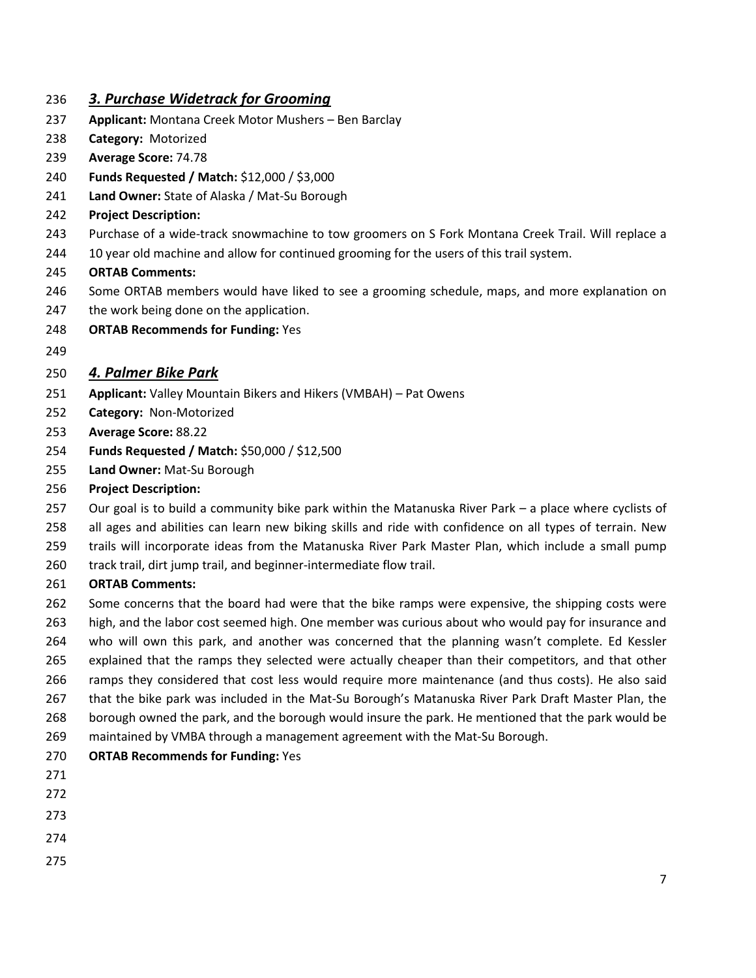#### *3. Purchase Widetrack for Grooming*

- **Applicant:** Montana Creek Motor Mushers Ben Barclay
- **Category:** Motorized
- **Average Score:** 74.78
- **Funds Requested / Match:** \$12,000 / \$3,000
- **Land Owner:** State of Alaska / Mat-Su Borough
- **Project Description:**
- Purchase of a wide-track snowmachine to tow groomers on S Fork Montana Creek Trail. Will replace a
- 244 10 year old machine and allow for continued grooming for the users of this trail system.

#### **ORTAB Comments:**

- Some ORTAB members would have liked to see a grooming schedule, maps, and more explanation on
- 247 the work being done on the application.
- **ORTAB Recommends for Funding:** Yes
- 

## *4. Palmer Bike Park*

- **Applicant:** Valley Mountain Bikers and Hikers (VMBAH) Pat Owens
- **Category:** Non-Motorized
- **Average Score:** 88.22
- **Funds Requested / Match:** \$50,000 / \$12,500
- **Land Owner:** Mat-Su Borough
- **Project Description:**
- Our goal is to build a community bike park within the Matanuska River Park a place where cyclists of
- all ages and abilities can learn new biking skills and ride with confidence on all types of terrain. New
- trails will incorporate ideas from the Matanuska River Park Master Plan, which include a small pump
- 260 track trail, dirt jump trail, and beginner-intermediate flow trail.

- 262 Some concerns that the board had were that the bike ramps were expensive, the shipping costs were high, and the labor cost seemed high. One member was curious about who would pay for insurance and who will own this park, and another was concerned that the planning wasn't complete. Ed Kessler explained that the ramps they selected were actually cheaper than their competitors, and that other ramps they considered that cost less would require more maintenance (and thus costs). He also said that the bike park was included in the Mat-Su Borough's Matanuska River Park Draft Master Plan, the borough owned the park, and the borough would insure the park. He mentioned that the park would be maintained by VMBA through a management agreement with the Mat-Su Borough.
- **ORTAB Recommends for Funding:** Yes
- 
- 
- 
- 
-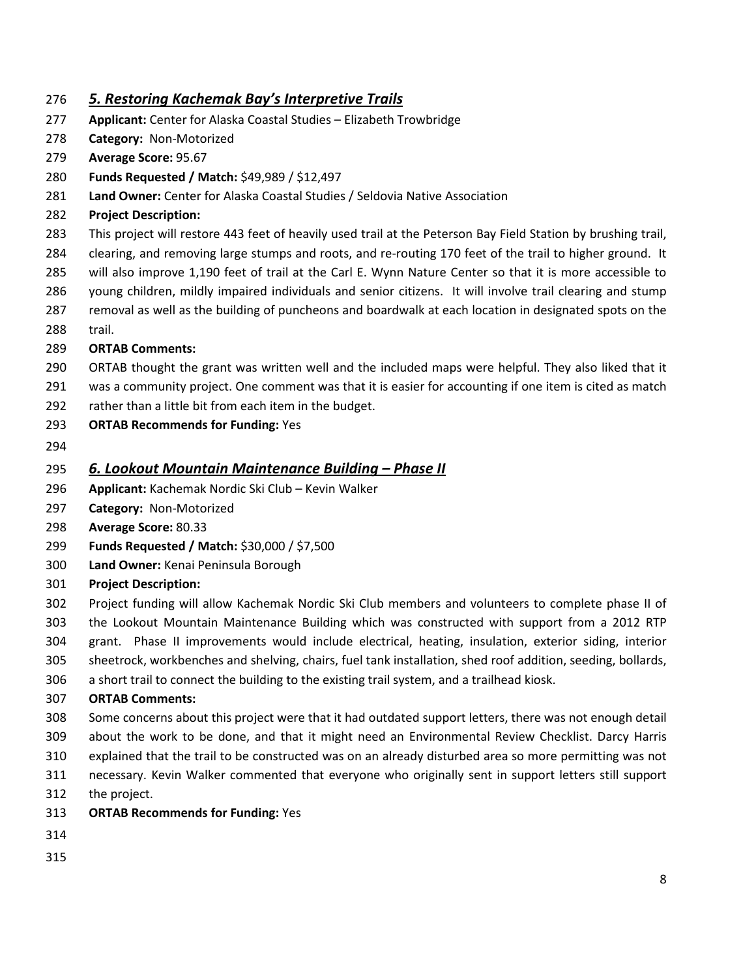#### *5. Restoring Kachemak Bay's Interpretive Trails*

- **Applicant:** Center for Alaska Coastal Studies Elizabeth Trowbridge
- **Category:** Non-Motorized
- **Average Score:** 95.67
- **Funds Requested / Match:** \$49,989 / \$12,497
- **Land Owner:** Center for Alaska Coastal Studies / Seldovia Native Association
- **Project Description:**
- This project will restore 443 feet of heavily used trail at the Peterson Bay Field Station by brushing trail,
- clearing, and removing large stumps and roots, and re-routing 170 feet of the trail to higher ground. It
- will also improve 1,190 feet of trail at the Carl E. Wynn Nature Center so that it is more accessible to
- young children, mildly impaired individuals and senior citizens. It will involve trail clearing and stump
- removal as well as the building of puncheons and boardwalk at each location in designated spots on the
- trail.

#### **ORTAB Comments:**

- ORTAB thought the grant was written well and the included maps were helpful. They also liked that it
- 291 was a community project. One comment was that it is easier for accounting if one item is cited as match
- rather than a little bit from each item in the budget.
- **ORTAB Recommends for Funding:** Yes
- 

## *6. Lookout Mountain Maintenance Building – Phase II*

- **Applicant:** Kachemak Nordic Ski Club Kevin Walker
- **Category:** Non-Motorized
- **Average Score:** 80.33
- **Funds Requested / Match:** \$30,000 / \$7,500
- **Land Owner:** Kenai Peninsula Borough
- **Project Description:**
- Project funding will allow Kachemak Nordic Ski Club members and volunteers to complete phase II of the Lookout Mountain Maintenance Building which was constructed with support from a 2012 RTP grant. Phase II improvements would include electrical, heating, insulation, exterior siding, interior
- sheetrock, workbenches and shelving, chairs, fuel tank installation, shed roof addition, seeding, bollards,
- a short trail to connect the building to the existing trail system, and a trailhead kiosk.

- Some concerns about this project were that it had outdated support letters, there was not enough detail about the work to be done, and that it might need an Environmental Review Checklist. Darcy Harris
- explained that the trail to be constructed was on an already disturbed area so more permitting was not
- necessary. Kevin Walker commented that everyone who originally sent in support letters still support
- the project.
- **ORTAB Recommends for Funding:** Yes
- 
-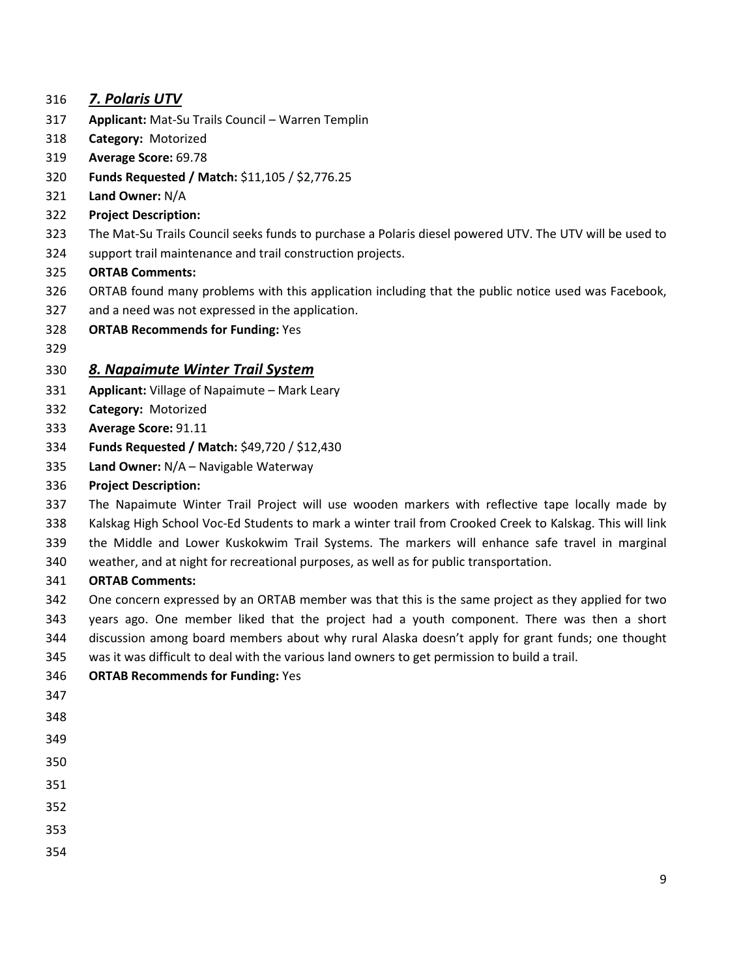## *7. Polaris UTV*

- **Applicant:** Mat-Su Trails Council Warren Templin
- **Category:** Motorized
- **Average Score:** 69.78
- **Funds Requested / Match:** \$11,105 / \$2,776.25
- **Land Owner:** N/A
- **Project Description:**
- The Mat-Su Trails Council seeks funds to purchase a Polaris diesel powered UTV. The UTV will be used to
- support trail maintenance and trail construction projects.

#### **ORTAB Comments:**

- ORTAB found many problems with this application including that the public notice used was Facebook,
- and a need was not expressed in the application.
- **ORTAB Recommends for Funding:** Yes
- 

## *8. Napaimute Winter Trail System*

- **Applicant:** Village of Napaimute Mark Leary
- **Category:** Motorized
- **Average Score:** 91.11
- **Funds Requested / Match:** \$49,720 / \$12,430
- **Land Owner:** N/A Navigable Waterway

#### **Project Description:**

- The Napaimute Winter Trail Project will use wooden markers with reflective tape locally made by Kalskag High School Voc-Ed Students to mark a winter trail from Crooked Creek to Kalskag. This will link
- the Middle and Lower Kuskokwim Trail Systems. The markers will enhance safe travel in marginal
- weather, and at night for recreational purposes, as well as for public transportation.

- One concern expressed by an ORTAB member was that this is the same project as they applied for two years ago. One member liked that the project had a youth component. There was then a short discussion among board members about why rural Alaska doesn't apply for grant funds; one thought was it was difficult to deal with the various land owners to get permission to build a trail.
- **ORTAB Recommends for Funding:** Yes
- 
- 
- 
- 
- 
- 
- 
- 
-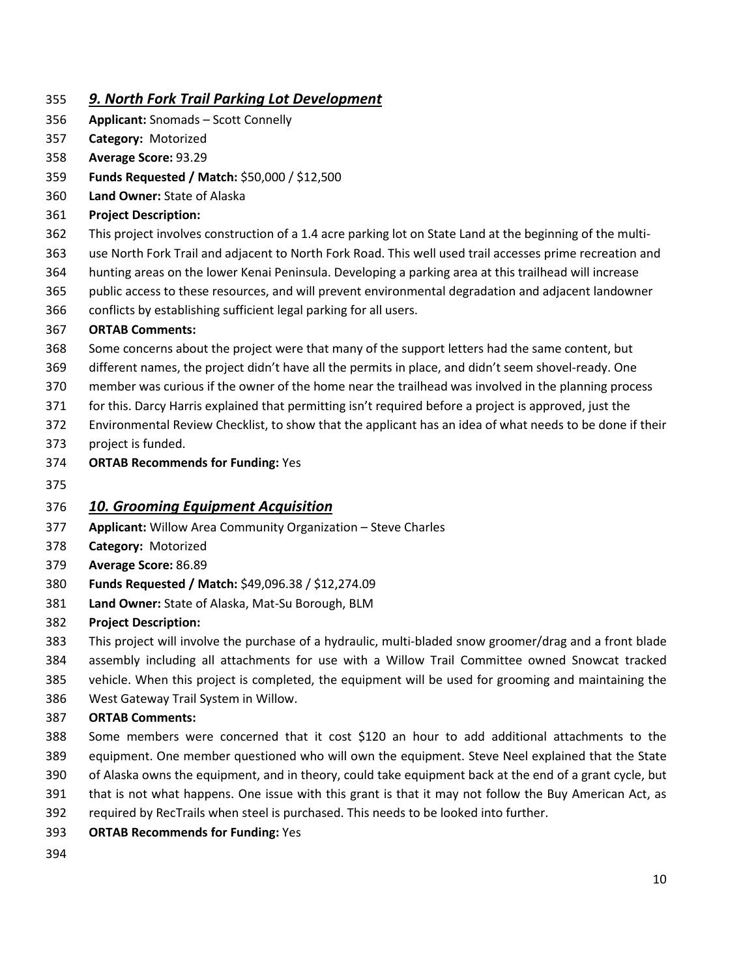## *9. North Fork Trail Parking Lot Development*

- **Applicant:** Snomads Scott Connelly
- **Category:** Motorized
- **Average Score:** 93.29
- **Funds Requested / Match:** \$50,000 / \$12,500
- **Land Owner:** State of Alaska
- **Project Description:**
- This project involves construction of a 1.4 acre parking lot on State Land at the beginning of the multi-
- use North Fork Trail and adjacent to North Fork Road. This well used trail accesses prime recreation and
- hunting areas on the lower Kenai Peninsula. Developing a parking area at this trailhead will increase
- public access to these resources, and will prevent environmental degradation and adjacent landowner
- conflicts by establishing sufficient legal parking for all users.

#### **ORTAB Comments:**

- Some concerns about the project were that many of the support letters had the same content, but
- different names, the project didn't have all the permits in place, and didn't seem shovel-ready. One
- member was curious if the owner of the home near the trailhead was involved in the planning process
- for this. Darcy Harris explained that permitting isn't required before a project is approved, just the
- Environmental Review Checklist, to show that the applicant has an idea of what needs to be done if their
- project is funded.
- **ORTAB Recommends for Funding:** Yes
- 

## *10. Grooming Equipment Acquisition*

- **Applicant:** Willow Area Community Organization Steve Charles
- **Category:** Motorized
- **Average Score:** 86.89
- **Funds Requested / Match:** \$49,096.38 / \$12,274.09
- **Land Owner:** State of Alaska, Mat-Su Borough, BLM
- **Project Description:**
- This project will involve the purchase of a hydraulic, multi-bladed snow groomer/drag and a front blade
- assembly including all attachments for use with a Willow Trail Committee owned Snowcat tracked
- vehicle. When this project is completed, the equipment will be used for grooming and maintaining the
- West Gateway Trail System in Willow.
- **ORTAB Comments:**
- Some members were concerned that it cost \$120 an hour to add additional attachments to the equipment. One member questioned who will own the equipment. Steve Neel explained that the State
- of Alaska owns the equipment, and in theory, could take equipment back at the end of a grant cycle, but
- that is not what happens. One issue with this grant is that it may not follow the Buy American Act, as
- required by RecTrails when steel is purchased. This needs to be looked into further.
- **ORTAB Recommends for Funding:** Yes
-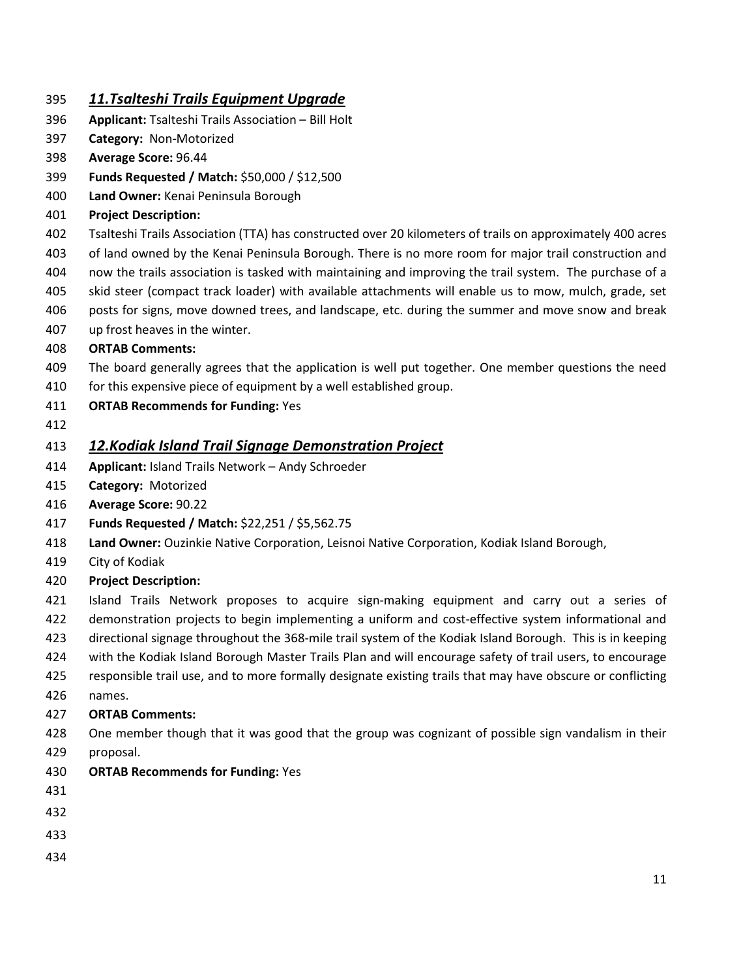## *11.Tsalteshi Trails Equipment Upgrade*

- **Applicant:** Tsalteshi Trails Association Bill Holt
- **Category:** Non**-**Motorized
- **Average Score:** 96.44
- **Funds Requested / Match:** \$50,000 / \$12,500
- **Land Owner:** Kenai Peninsula Borough
- **Project Description:**
- Tsalteshi Trails Association (TTA) has constructed over 20 kilometers of trails on approximately 400 acres
- of land owned by the Kenai Peninsula Borough. There is no more room for major trail construction and
- now the trails association is tasked with maintaining and improving the trail system. The purchase of a
- skid steer (compact track loader) with available attachments will enable us to mow, mulch, grade, set
- posts for signs, move downed trees, and landscape, etc. during the summer and move snow and break
- up frost heaves in the winter.
- **ORTAB Comments:**
- The board generally agrees that the application is well put together. One member questions the need
- 410 for this expensive piece of equipment by a well established group.
- **ORTAB Recommends for Funding:** Yes
- 

## *12.Kodiak Island Trail Signage Demonstration Project*

- **Applicant:** Island Trails Network Andy Schroeder
- **Category:** Motorized
- **Average Score:** 90.22
- **Funds Requested / Match:** \$22,251 / \$5,562.75
- **Land Owner:** Ouzinkie Native Corporation, Leisnoi Native Corporation, Kodiak Island Borough,
- City of Kodiak
- **Project Description:**
- Island Trails Network proposes to acquire sign-making equipment and carry out a series of demonstration projects to begin implementing a uniform and cost-effective system informational and
- directional signage throughout the 368-mile trail system of the Kodiak Island Borough. This is in keeping
- with the Kodiak Island Borough Master Trails Plan and will encourage safety of trail users, to encourage
- responsible trail use, and to more formally designate existing trails that may have obscure or conflicting names.

- One member though that it was good that the group was cognizant of possible sign vandalism in their proposal.
- **ORTAB Recommends for Funding:** Yes
- 
- 
- 
-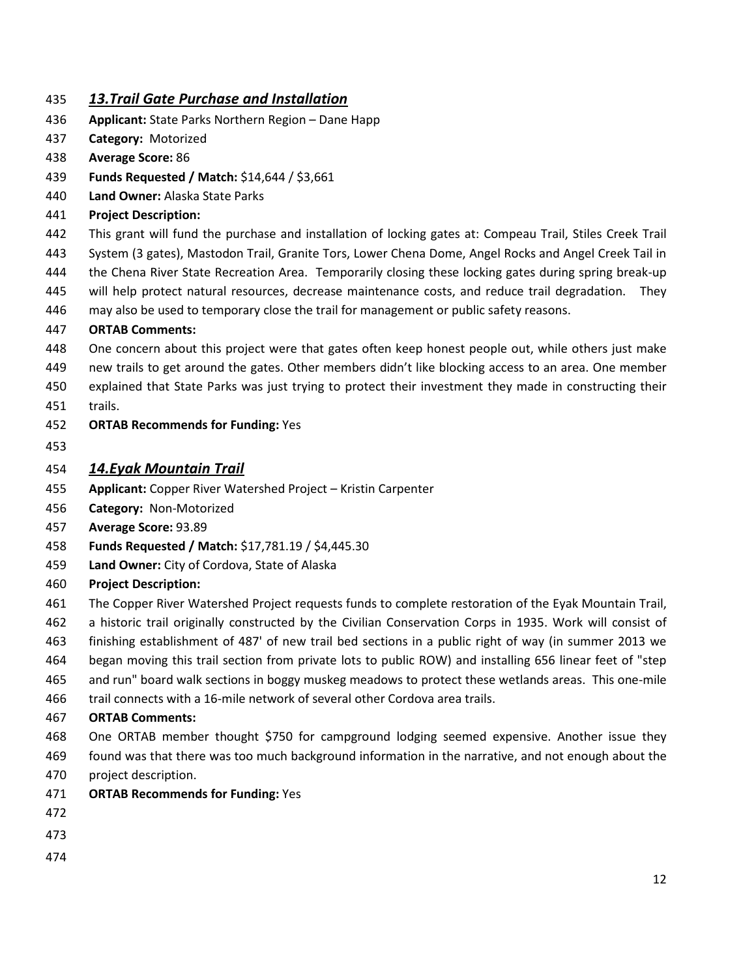### *13.Trail Gate Purchase and Installation*

- **Applicant:** State Parks Northern Region Dane Happ
- **Category:** Motorized
- **Average Score:** 86
- **Funds Requested / Match:** \$14,644 / \$3,661
- **Land Owner:** Alaska State Parks
- **Project Description:**
- This grant will fund the purchase and installation of locking gates at: Compeau Trail, Stiles Creek Trail System (3 gates), Mastodon Trail, Granite Tors, Lower Chena Dome, Angel Rocks and Angel Creek Tail in the Chena River State Recreation Area. Temporarily closing these locking gates during spring break-up will help protect natural resources, decrease maintenance costs, and reduce trail degradation. They
- may also be used to temporary close the trail for management or public safety reasons.

#### **ORTAB Comments:**

- One concern about this project were that gates often keep honest people out, while others just make
- new trails to get around the gates. Other members didn't like blocking access to an area. One member explained that State Parks was just trying to protect their investment they made in constructing their
- trails.
- **ORTAB Recommends for Funding:** Yes
- 

#### *14.Eyak Mountain Trail*

- **Applicant:** Copper River Watershed Project Kristin Carpenter
- **Category:** Non-Motorized
- **Average Score:** 93.89
- **Funds Requested / Match:** \$17,781.19 / \$4,445.30
- **Land Owner:** City of Cordova, State of Alaska
- **Project Description:**
- The Copper River Watershed Project requests funds to complete restoration of the Eyak Mountain Trail,
- a historic trail originally constructed by the Civilian Conservation Corps in 1935. Work will consist of
- finishing establishment of 487' of new trail bed sections in a public right of way (in summer 2013 we began moving this trail section from private lots to public ROW) and installing 656 linear feet of "step
- and run" board walk sections in boggy muskeg meadows to protect these wetlands areas. This one-mile
- trail connects with a 16-mile network of several other Cordova area trails.

- One ORTAB member thought \$750 for campground lodging seemed expensive. Another issue they found was that there was too much background information in the narrative, and not enough about the
- project description.
- **ORTAB Recommends for Funding:** Yes
- 
- 
-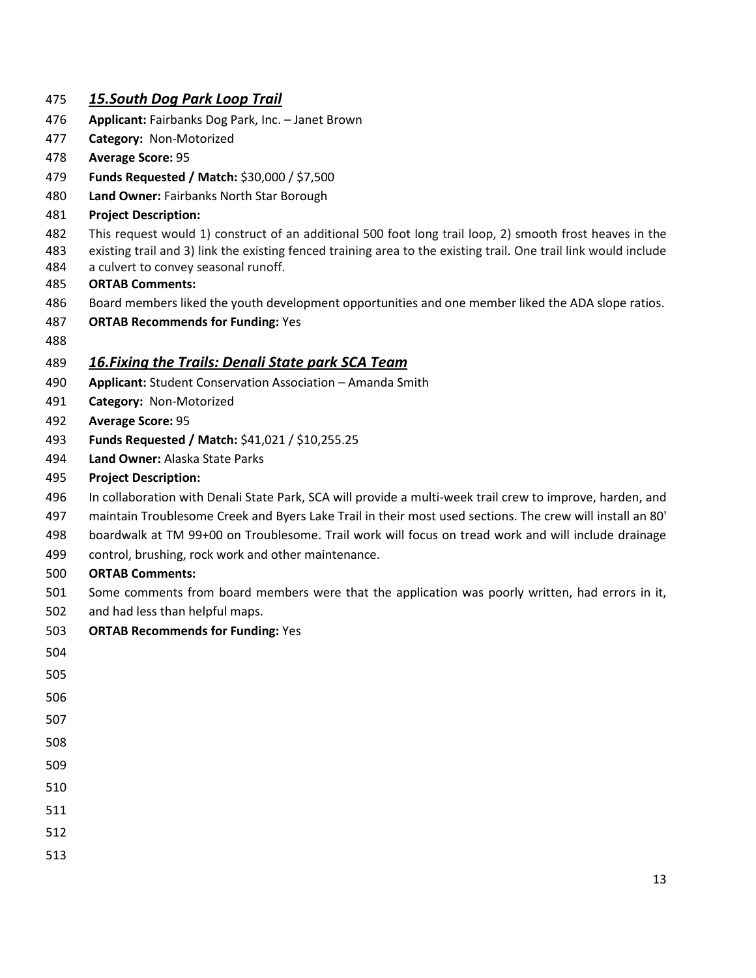### *15.South Dog Park Loop Trail*

- **Applicant:** Fairbanks Dog Park, Inc. Janet Brown
- **Category:** Non-Motorized
- **Average Score:** 95
- **Funds Requested / Match:** \$30,000 / \$7,500
- **Land Owner:** Fairbanks North Star Borough
- **Project Description:**
- This request would 1) construct of an additional 500 foot long trail loop, 2) smooth frost heaves in the
- existing trail and 3) link the existing fenced training area to the existing trail. One trail link would include a culvert to convey seasonal runoff.
- **ORTAB Comments:**
- Board members liked the youth development opportunities and one member liked the ADA slope ratios.
- **ORTAB Recommends for Funding:** Yes
- 

#### *16.Fixing the Trails: Denali State park SCA Team*

- **Applicant:** Student Conservation Association Amanda Smith
- **Category:** Non-Motorized
- **Average Score:** 95
- **Funds Requested / Match:** \$41,021 / \$10,255.25
- **Land Owner:** Alaska State Parks
- **Project Description:**
- In collaboration with Denali State Park, SCA will provide a multi-week trail crew to improve, harden, and
- maintain Troublesome Creek and Byers Lake Trail in their most used sections. The crew will install an 80'
- boardwalk at TM 99+00 on Troublesome. Trail work will focus on tread work and will include drainage
- control, brushing, rock work and other maintenance.
- **ORTAB Comments:**
- Some comments from board members were that the application was poorly written, had errors in it,
- and had less than helpful maps.
- **ORTAB Recommends for Funding:** Yes
- 
- 
- 
- 
- 
- 
- 
- 
- 
- 
-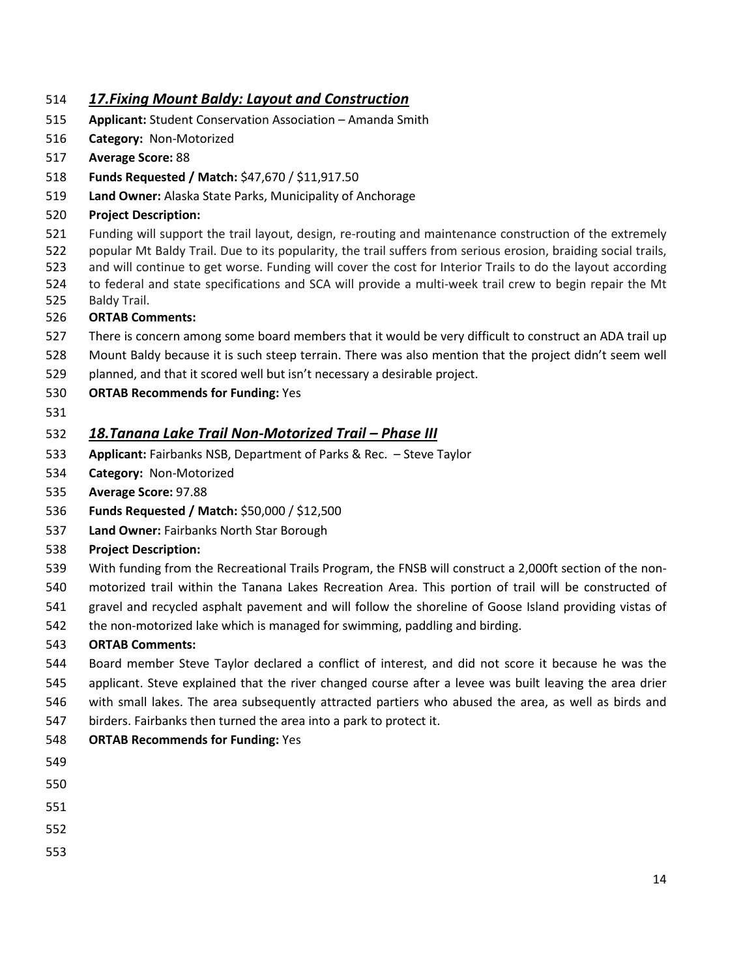### *17.Fixing Mount Baldy: Layout and Construction*

- **Applicant:** Student Conservation Association Amanda Smith
- **Category:** Non-Motorized
- **Average Score:** 88
- **Funds Requested / Match:** \$47,670 / \$11,917.50
- **Land Owner:** Alaska State Parks, Municipality of Anchorage
- **Project Description:**
- Funding will support the trail layout, design, re-routing and maintenance construction of the extremely
- popular Mt Baldy Trail. Due to its popularity, the trail suffers from serious erosion, braiding social trails,
- and will continue to get worse. Funding will cover the cost for Interior Trails to do the layout according
- to federal and state specifications and SCA will provide a multi-week trail crew to begin repair the Mt Baldy Trail.
- **ORTAB Comments:**
- There is concern among some board members that it would be very difficult to construct an ADA trail up
- Mount Baldy because it is such steep terrain. There was also mention that the project didn't seem well
- planned, and that it scored well but isn't necessary a desirable project.
- **ORTAB Recommends for Funding:** Yes
- 

## *18.Tanana Lake Trail Non-Motorized Trail – Phase III*

- **Applicant:** Fairbanks NSB, Department of Parks & Rec. Steve Taylor
- **Category:** Non-Motorized
- **Average Score:** 97.88
- **Funds Requested / Match:** \$50,000 / \$12,500
- **Land Owner:** Fairbanks North Star Borough
- **Project Description:**
- With funding from the Recreational Trails Program, the FNSB will construct a 2,000ft section of the non-
- motorized trail within the Tanana Lakes Recreation Area. This portion of trail will be constructed of
- gravel and recycled asphalt pavement and will follow the shoreline of Goose Island providing vistas of
- the non-motorized lake which is managed for swimming, paddling and birding.

#### **ORTAB Comments:**

- Board member Steve Taylor declared a conflict of interest, and did not score it because he was the applicant. Steve explained that the river changed course after a levee was built leaving the area drier
- with small lakes. The area subsequently attracted partiers who abused the area, as well as birds and
- birders. Fairbanks then turned the area into a park to protect it.

#### **ORTAB Recommends for Funding:** Yes

- 
- 
- 
- 
-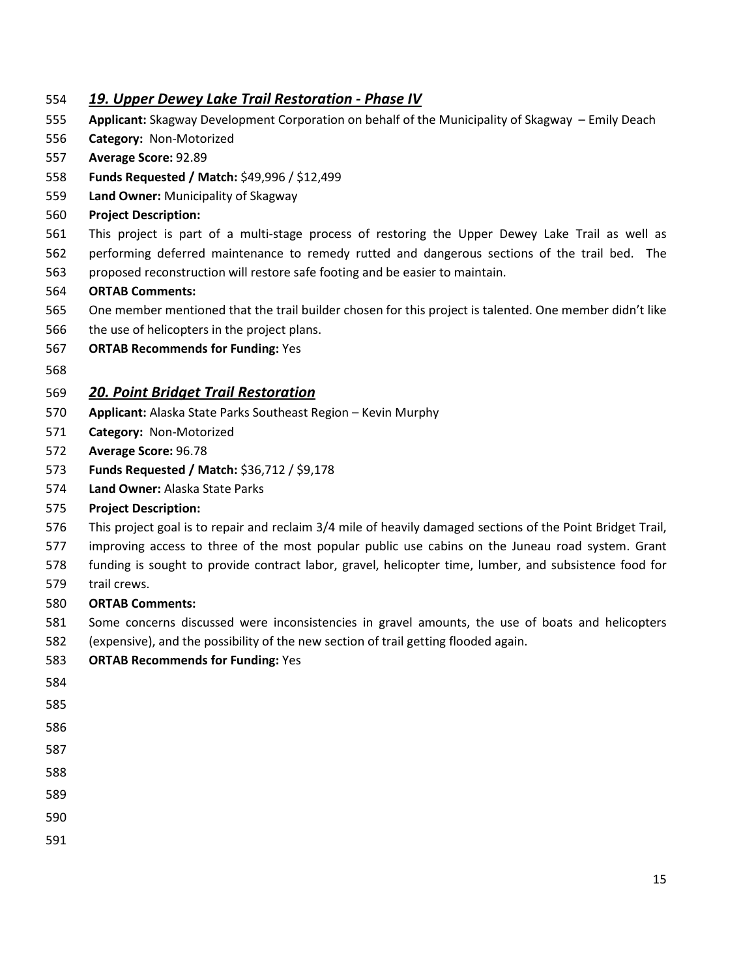#### *19. Upper Dewey Lake Trail Restoration - Phase IV*

- **Applicant:** Skagway Development Corporation on behalf of the Municipality of Skagway Emily Deach
- **Category:** Non-Motorized
- **Average Score:** 92.89
- **Funds Requested / Match:** \$49,996 / \$12,499
- **Land Owner:** Municipality of Skagway
- **Project Description:**
- This project is part of a multi-stage process of restoring the Upper Dewey Lake Trail as well as
- performing deferred maintenance to remedy rutted and dangerous sections of the trail bed. The
- proposed reconstruction will restore safe footing and be easier to maintain.

#### **ORTAB Comments:**

- One member mentioned that the trail builder chosen for this project is talented. One member didn't like
- the use of helicopters in the project plans.
- **ORTAB Recommends for Funding:** Yes
- 

#### *20. Point Bridget Trail Restoration*

- **Applicant:** Alaska State Parks Southeast Region Kevin Murphy
- **Category:** Non-Motorized
- **Average Score:** 96.78
- **Funds Requested / Match:** \$36,712 / \$9,178
- **Land Owner:** Alaska State Parks
- **Project Description:**
- This project goal is to repair and reclaim 3/4 mile of heavily damaged sections of the Point Bridget Trail,
- improving access to three of the most popular public use cabins on the Juneau road system. Grant
- funding is sought to provide contract labor, gravel, helicopter time, lumber, and subsistence food for
- trail crews.

- Some concerns discussed were inconsistencies in gravel amounts, the use of boats and helicopters
- (expensive), and the possibility of the new section of trail getting flooded again.
- **ORTAB Recommends for Funding:** Yes
- 
- 
- 
- 
- 
- 
- 
-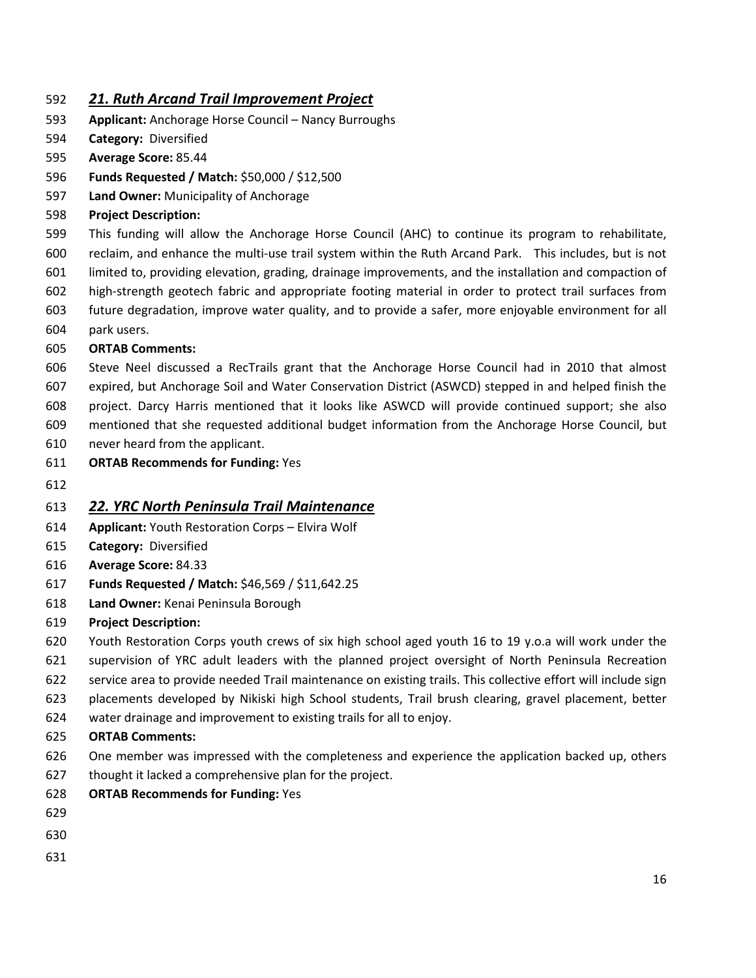### *21. Ruth Arcand Trail Improvement Project*

- **Applicant:** Anchorage Horse Council Nancy Burroughs
- **Category:** Diversified
- **Average Score:** 85.44
- **Funds Requested / Match:** \$50,000 / \$12,500
- **Land Owner:** Municipality of Anchorage
- **Project Description:**

 This funding will allow the Anchorage Horse Council (AHC) to continue its program to rehabilitate, reclaim, and enhance the multi-use trail system within the Ruth Arcand Park. This includes, but is not limited to, providing elevation, grading, drainage improvements, and the installation and compaction of high-strength geotech fabric and appropriate footing material in order to protect trail surfaces from

- future degradation, improve water quality, and to provide a safer, more enjoyable environment for all
- park users.

#### **ORTAB Comments:**

- Steve Neel discussed a RecTrails grant that the Anchorage Horse Council had in 2010 that almost expired, but Anchorage Soil and Water Conservation District (ASWCD) stepped in and helped finish the project. Darcy Harris mentioned that it looks like ASWCD will provide continued support; she also
- mentioned that she requested additional budget information from the Anchorage Horse Council, but
- never heard from the applicant.
- **ORTAB Recommends for Funding:** Yes
- 

## *22. YRC North Peninsula Trail Maintenance*

- **Applicant:** Youth Restoration Corps Elvira Wolf
- **Category:** Diversified
- **Average Score:** 84.33
- **Funds Requested / Match:** \$46,569 / \$11,642.25
- **Land Owner:** Kenai Peninsula Borough
- **Project Description:**
- Youth Restoration Corps youth crews of six high school aged youth 16 to 19 y.o.a will work under the
- supervision of YRC adult leaders with the planned project oversight of North Peninsula Recreation
- service area to provide needed Trail maintenance on existing trails. This collective effort will include sign
- placements developed by Nikiski high School students, Trail brush clearing, gravel placement, better
- water drainage and improvement to existing trails for all to enjoy.
- **ORTAB Comments:**
- One member was impressed with the completeness and experience the application backed up, others
- thought it lacked a comprehensive plan for the project.
- **ORTAB Recommends for Funding:** Yes
- 
- 
-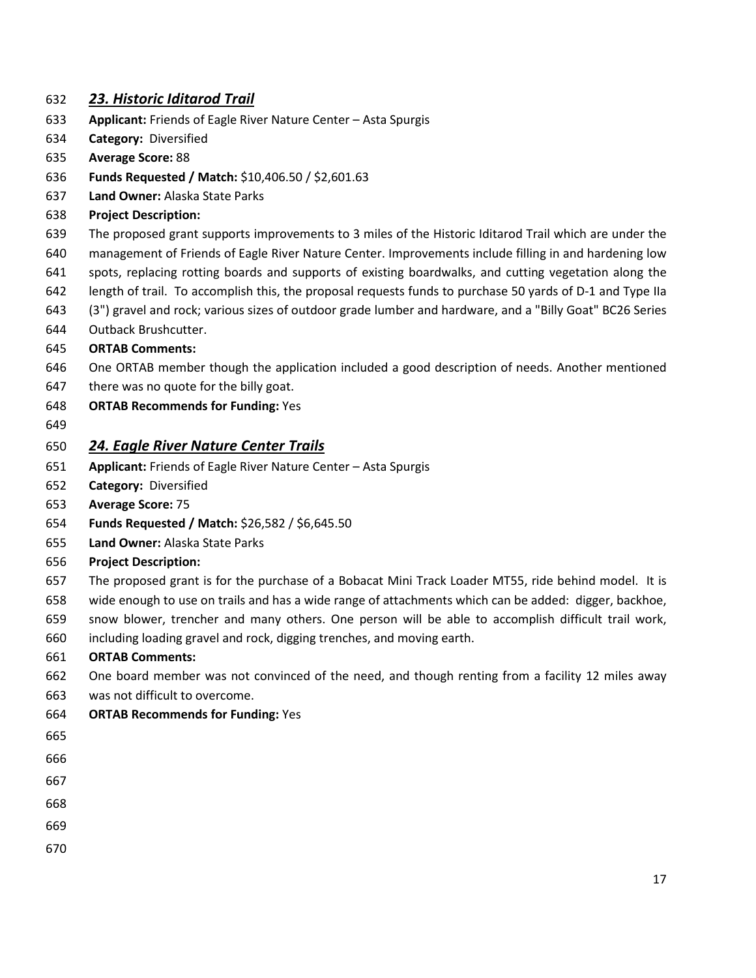#### *23. Historic Iditarod Trail*

- **Applicant:** Friends of Eagle River Nature Center Asta Spurgis
- **Category:** Diversified
- **Average Score:** 88
- **Funds Requested / Match:** \$10,406.50 / \$2,601.63
- **Land Owner:** Alaska State Parks
- **Project Description:**
- The proposed grant supports improvements to 3 miles of the Historic Iditarod Trail which are under the
- management of Friends of Eagle River Nature Center. Improvements include filling in and hardening low
- spots, replacing rotting boards and supports of existing boardwalks, and cutting vegetation along the
- length of trail. To accomplish this, the proposal requests funds to purchase 50 yards of D-1 and Type IIa
- (3") gravel and rock; various sizes of outdoor grade lumber and hardware, and a "Billy Goat" BC26 Series
- Outback Brushcutter.
- **ORTAB Comments:**
- One ORTAB member though the application included a good description of needs. Another mentioned
- 647 there was no quote for the billy goat.
- **ORTAB Recommends for Funding:** Yes
- 

## *24. Eagle River Nature Center Trails*

- **Applicant:** Friends of Eagle River Nature Center Asta Spurgis
- **Category:** Diversified
- **Average Score:** 75
- **Funds Requested / Match:** \$26,582 / \$6,645.50
- **Land Owner:** Alaska State Parks
- **Project Description:**
- The proposed grant is for the purchase of a Bobacat Mini Track Loader MT55, ride behind model. It is
- wide enough to use on trails and has a wide range of attachments which can be added: digger, backhoe,
- snow blower, trencher and many others. One person will be able to accomplish difficult trail work,
- including loading gravel and rock, digging trenches, and moving earth.

#### **ORTAB Comments:**

- One board member was not convinced of the need, and though renting from a facility 12 miles away
- was not difficult to overcome.
- **ORTAB Recommends for Funding:** Yes

- 
- 
- 
- 
-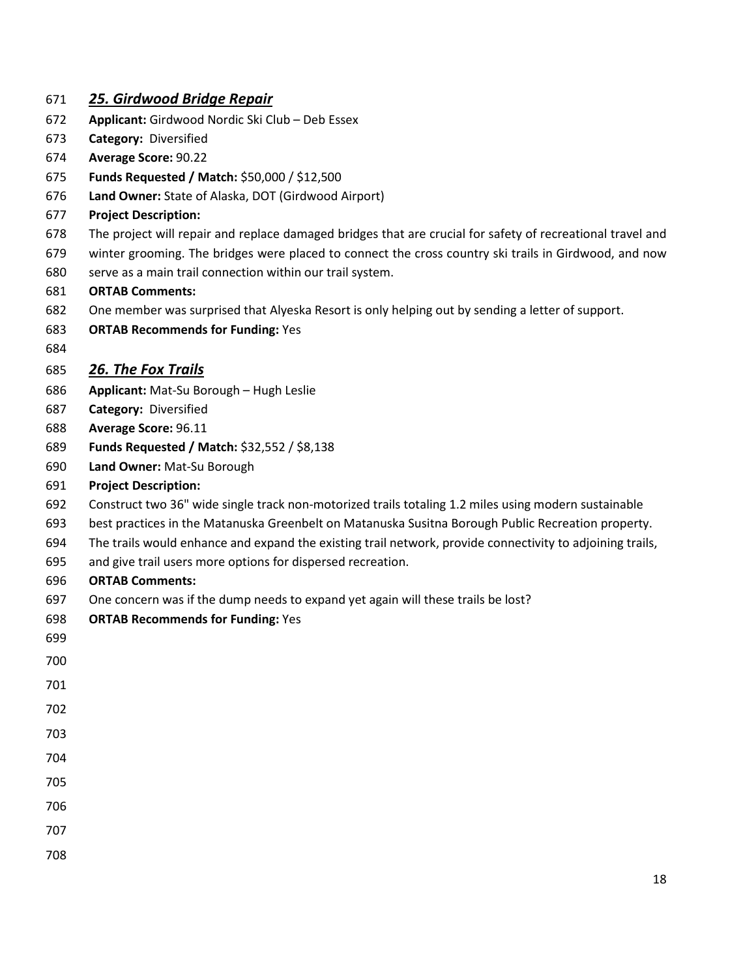#### *25. Girdwood Bridge Repair*

- **Applicant:** Girdwood Nordic Ski Club Deb Essex
- **Category:** Diversified
- **Average Score:** 90.22
- **Funds Requested / Match:** \$50,000 / \$12,500
- **Land Owner:** State of Alaska, DOT (Girdwood Airport)
- **Project Description:**
- The project will repair and replace damaged bridges that are crucial for safety of recreational travel and
- winter grooming. The bridges were placed to connect the cross country ski trails in Girdwood, and now
- serve as a main trail connection within our trail system.

#### **ORTAB Comments:**

- One member was surprised that Alyeska Resort is only helping out by sending a letter of support.
- **ORTAB Recommends for Funding:** Yes
- 

## *26. The Fox Trails*

- **Applicant:** Mat-Su Borough Hugh Leslie
- **Category:** Diversified
- **Average Score:** 96.11
- **Funds Requested / Match:** \$32,552 / \$8,138
- **Land Owner:** Mat-Su Borough
- **Project Description:**
- Construct two 36" wide single track non-motorized trails totaling 1.2 miles using modern sustainable
- best practices in the Matanuska Greenbelt on Matanuska Susitna Borough Public Recreation property.
- The trails would enhance and expand the existing trail network, provide connectivity to adjoining trails,
- and give trail users more options for dispersed recreation.
- **ORTAB Comments:**
- One concern was if the dump needs to expand yet again will these trails be lost?
- **ORTAB Recommends for Funding:** Yes
- 
- 
- 
- 
- 
- 
- 
- 
- 
- 
-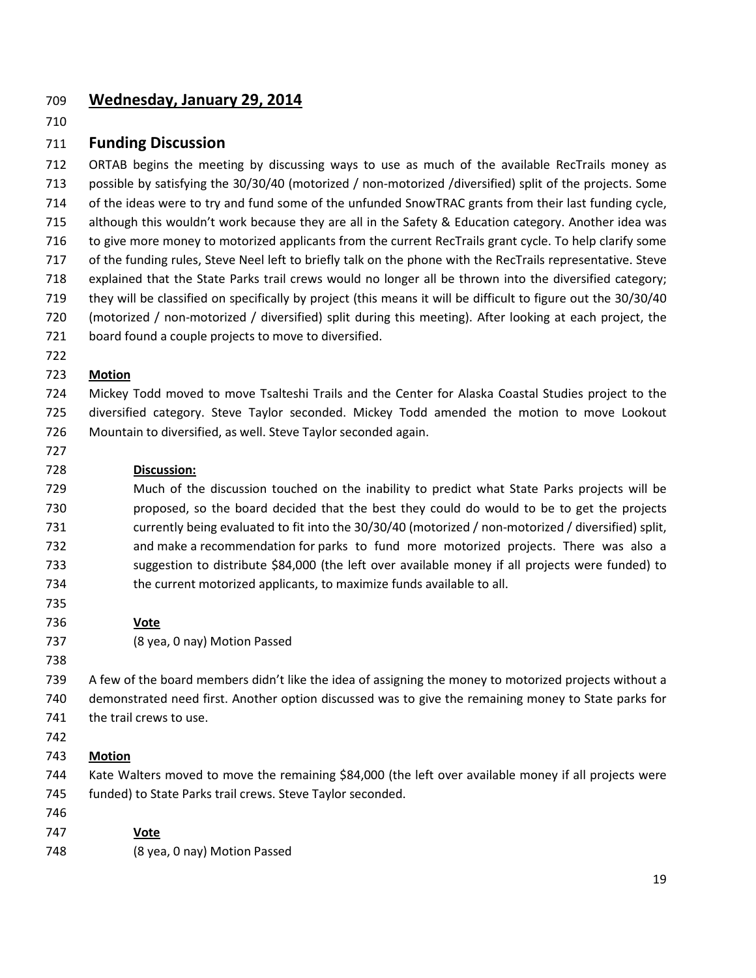## **Wednesday, January 29, 2014**

#### **Funding Discussion**

 ORTAB begins the meeting by discussing ways to use as much of the available RecTrails money as possible by satisfying the 30/30/40 (motorized / non-motorized /diversified) split of the projects. Some of the ideas were to try and fund some of the unfunded SnowTRAC grants from their last funding cycle, although this wouldn't work because they are all in the Safety & Education category. Another idea was to give more money to motorized applicants from the current RecTrails grant cycle. To help clarify some of the funding rules, Steve Neel left to briefly talk on the phone with the RecTrails representative. Steve explained that the State Parks trail crews would no longer all be thrown into the diversified category; they will be classified on specifically by project (this means it will be difficult to figure out the 30/30/40 (motorized / non-motorized / diversified) split during this meeting). After looking at each project, the board found a couple projects to move to diversified.

#### **Motion**

 Mickey Todd moved to move Tsalteshi Trails and the Center for Alaska Coastal Studies project to the diversified category. Steve Taylor seconded. Mickey Todd amended the motion to move Lookout Mountain to diversified, as well. Steve Taylor seconded again.

#### **Discussion:**

 Much of the discussion touched on the inability to predict what State Parks projects will be proposed, so the board decided that the best they could do would to be to get the projects currently being evaluated to fit into the 30/30/40 (motorized / non-motorized / diversified) split, and make a recommendation for parks to fund more motorized projects. There was also a suggestion to distribute \$84,000 (the left over available money if all projects were funded) to the current motorized applicants, to maximize funds available to all.

#### **Vote**

- (8 yea, 0 nay) Motion Passed
- 

 A few of the board members didn't like the idea of assigning the money to motorized projects without a demonstrated need first. Another option discussed was to give the remaining money to State parks for 741 the trail crews to use.

#### **Motion**

 Kate Walters moved to move the remaining \$84,000 (the left over available money if all projects were funded) to State Parks trail crews. Steve Taylor seconded.

- **Vote**
- (8 yea, 0 nay) Motion Passed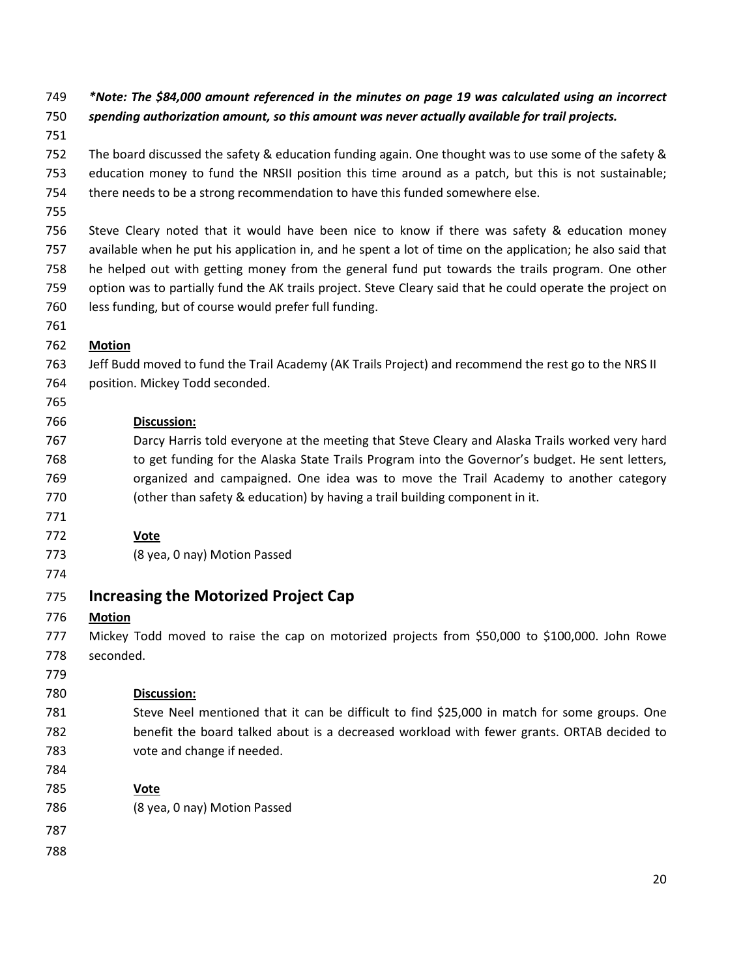*\*Note: The \$84,000 amount referenced in the minutes on page 19 was calculated using an incorrect spending authorization amount, so this amount was never actually available for trail projects.*

 The board discussed the safety & education funding again. One thought was to use some of the safety & education money to fund the NRSII position this time around as a patch, but this is not sustainable; there needs to be a strong recommendation to have this funded somewhere else.

 Steve Cleary noted that it would have been nice to know if there was safety & education money available when he put his application in, and he spent a lot of time on the application; he also said that he helped out with getting money from the general fund put towards the trails program. One other option was to partially fund the AK trails project. Steve Cleary said that he could operate the project on less funding, but of course would prefer full funding.

### **Motion**

 Jeff Budd moved to fund the Trail Academy (AK Trails Project) and recommend the rest go to the NRS II position. Mickey Todd seconded.

#### **Discussion:**

 Darcy Harris told everyone at the meeting that Steve Cleary and Alaska Trails worked very hard 768 to get funding for the Alaska State Trails Program into the Governor's budget. He sent letters, organized and campaigned. One idea was to move the Trail Academy to another category (other than safety & education) by having a trail building component in it.

#### **Vote**

- (8 yea, 0 nay) Motion Passed
- 

## **Increasing the Motorized Project Cap**

**Motion**

 Mickey Todd moved to raise the cap on motorized projects from \$50,000 to \$100,000. John Rowe seconded.

## **Discussion:**

- 781 Steve Neel mentioned that it can be difficult to find \$25,000 in match for some groups. One benefit the board talked about is a decreased workload with fewer grants. ORTAB decided to vote and change if needed.
- 

#### **Vote**

- (8 yea, 0 nay) Motion Passed
- 
-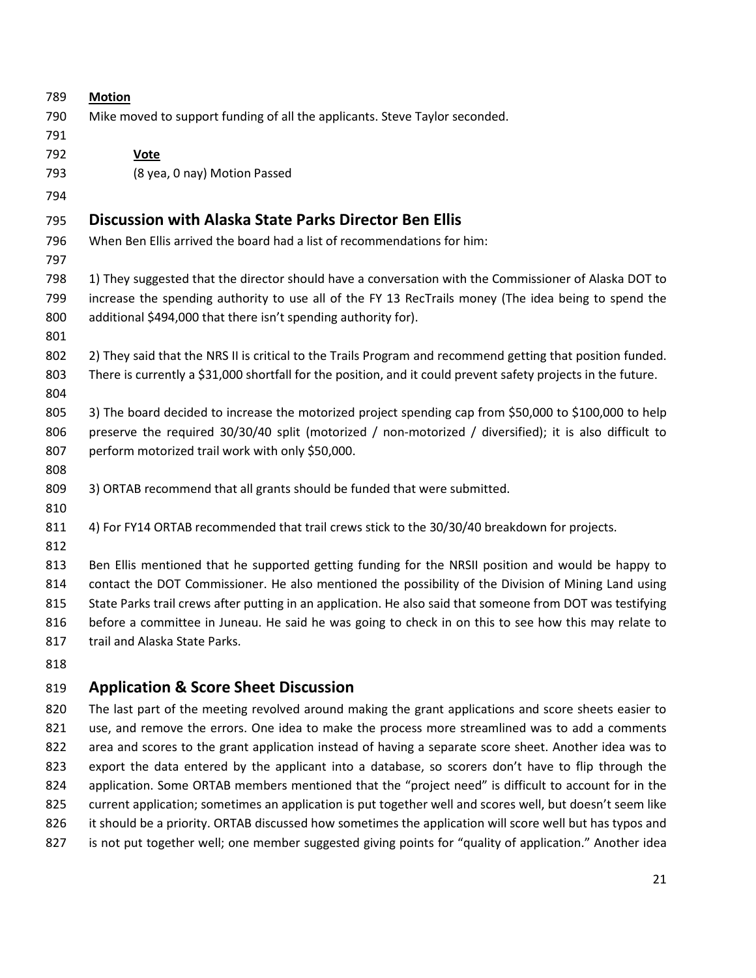| 789 | <b>Motion</b>                                                                                                 |
|-----|---------------------------------------------------------------------------------------------------------------|
| 790 | Mike moved to support funding of all the applicants. Steve Taylor seconded.                                   |
| 791 |                                                                                                               |
| 792 | <b>Vote</b>                                                                                                   |
| 793 | (8 yea, 0 nay) Motion Passed                                                                                  |
| 794 |                                                                                                               |
| 795 | <b>Discussion with Alaska State Parks Director Ben Ellis</b>                                                  |
| 796 | When Ben Ellis arrived the board had a list of recommendations for him:                                       |
| 797 |                                                                                                               |
| 798 | 1) They suggested that the director should have a conversation with the Commissioner of Alaska DOT to         |
| 799 | increase the spending authority to use all of the FY 13 RecTrails money (The idea being to spend the          |
| 800 | additional \$494,000 that there isn't spending authority for).                                                |
| 801 |                                                                                                               |
| 802 | 2) They said that the NRS II is critical to the Trails Program and recommend getting that position funded.    |
| 803 | There is currently a \$31,000 shortfall for the position, and it could prevent safety projects in the future. |
| 804 |                                                                                                               |
| 805 | 3) The board decided to increase the motorized project spending cap from \$50,000 to \$100,000 to help        |
| 806 | preserve the required 30/30/40 split (motorized / non-motorized / diversified); it is also difficult to       |
| 807 | perform motorized trail work with only \$50,000.                                                              |
| 808 |                                                                                                               |
| 809 | 3) ORTAB recommend that all grants should be funded that were submitted.                                      |
| 810 |                                                                                                               |
| 811 | 4) For FY14 ORTAB recommended that trail crews stick to the 30/30/40 breakdown for projects.                  |
| 812 |                                                                                                               |
| 813 | Ben Ellis mentioned that he supported getting funding for the NRSII position and would be happy to            |
| 814 | contact the DOT Commissioner. He also mentioned the possibility of the Division of Mining Land using          |
| 815 | State Parks trail crews after putting in an application. He also said that someone from DOT was testifying    |
| 816 | before a committee in Juneau. He said he was going to check in on this to see how this may relate to          |
| 817 | trail and Alaska State Parks.                                                                                 |
| 818 |                                                                                                               |

## **Application & Score Sheet Discussion**

820 The last part of the meeting revolved around making the grant applications and score sheets easier to 821 use, and remove the errors. One idea to make the process more streamlined was to add a comments 822 area and scores to the grant application instead of having a separate score sheet. Another idea was to 823 export the data entered by the applicant into a database, so scorers don't have to flip through the application. Some ORTAB members mentioned that the "project need" is difficult to account for in the current application; sometimes an application is put together well and scores well, but doesn't seem like 826 it should be a priority. ORTAB discussed how sometimes the application will score well but has typos and 827 is not put together well; one member suggested giving points for "quality of application." Another idea